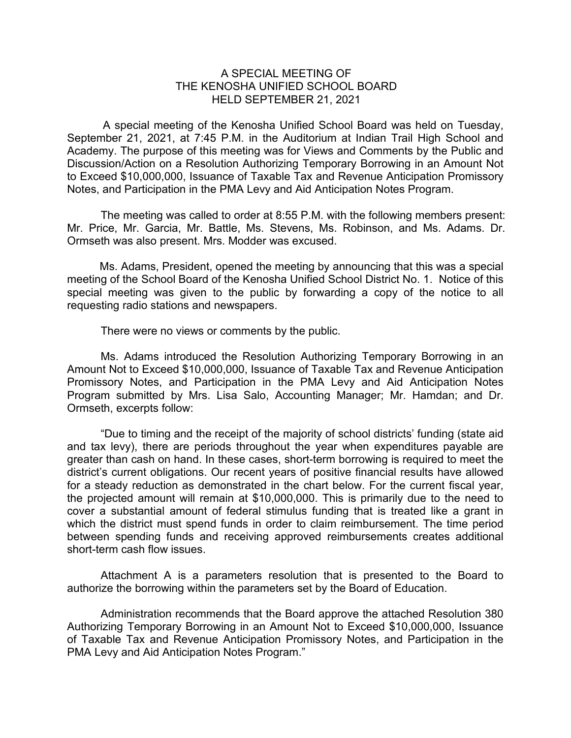## A SPECIAL MEETING OF THE KENOSHA UNIFIED SCHOOL BOARD HELD SEPTEMBER 21, 2021

A special meeting of the Kenosha Unified School Board was held on Tuesday, September 21, 2021, at 7:45 P.M. in the Auditorium at Indian Trail High School and Academy. The purpose of this meeting was for Views and Comments by the Public and Discussion/Action on a Resolution Authorizing Temporary Borrowing in an Amount Not to Exceed \$10,000,000, Issuance of Taxable Tax and Revenue Anticipation Promissory Notes, and Participation in the PMA Levy and Aid Anticipation Notes Program.

The meeting was called to order at 8:55 P.M. with the following members present: Mr. Price, Mr. Garcia, Mr. Battle, Ms. Stevens, Ms. Robinson, and Ms. Adams. Dr. Ormseth was also present. Mrs. Modder was excused.

Ms. Adams, President, opened the meeting by announcing that this was a special meeting of the School Board of the Kenosha Unified School District No. 1. Notice of this special meeting was given to the public by forwarding a copy of the notice to all requesting radio stations and newspapers.

There were no views or comments by the public.

Ms. Adams introduced the Resolution Authorizing Temporary Borrowing in an Amount Not to Exceed \$10,000,000, Issuance of Taxable Tax and Revenue Anticipation Promissory Notes, and Participation in the PMA Levy and Aid Anticipation Notes Program submitted by Mrs. Lisa Salo, Accounting Manager; Mr. Hamdan; and Dr. Ormseth, excerpts follow:

"Due to timing and the receipt of the majority of school districts' funding (state aid and tax levy), there are periods throughout the year when expenditures payable are greater than cash on hand. In these cases, short-term borrowing is required to meet the district's current obligations. Our recent years of positive financial results have allowed for a steady reduction as demonstrated in the chart below. For the current fiscal year, the projected amount will remain at \$10,000,000. This is primarily due to the need to cover a substantial amount of federal stimulus funding that is treated like a grant in which the district must spend funds in order to claim reimbursement. The time period between spending funds and receiving approved reimbursements creates additional short-term cash flow issues.

Attachment A is a parameters resolution that is presented to the Board to authorize the borrowing within the parameters set by the Board of Education.

Administration recommends that the Board approve the attached Resolution 380 Authorizing Temporary Borrowing in an Amount Not to Exceed \$10,000,000, Issuance of Taxable Tax and Revenue Anticipation Promissory Notes, and Participation in the PMA Levy and Aid Anticipation Notes Program."